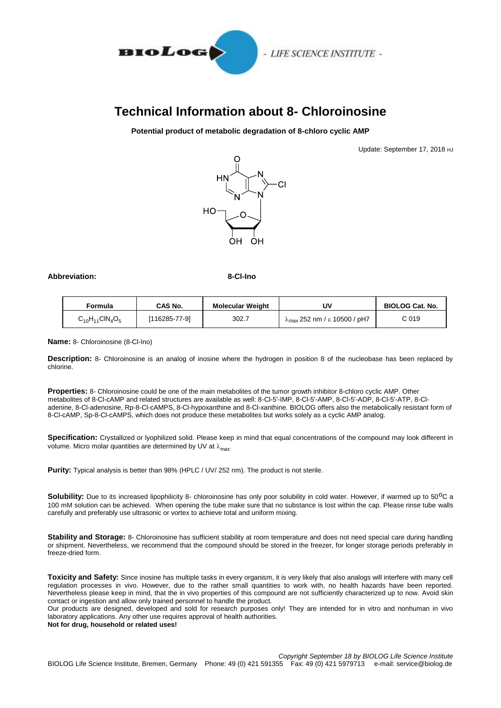

## **Technical Information about 8- Chloroinosine**

**Potential product of metabolic degradation of 8-chloro cyclic AMP**

Update: September 17, 2018 HJ



## **Abbreviation: 8-Cl-Ino**

| Formula                | CAS No.       | <b>Molecular Weight</b> | UV                                            | <b>BIOLOG Cat. No.</b> |
|------------------------|---------------|-------------------------|-----------------------------------------------|------------------------|
| $C_{10}H_{11}CIN_4O_5$ | [116285-77-9] | 302.7                   | $\lambda_{\text{max}}$ 252 nm / ε 10500 / pH7 | C 019                  |

**Name:** 8- Chloroinosine (8-Cl-Ino)

**Description:** 8- Chloroinosine is an analog of inosine where the hydrogen in position 8 of the nucleobase has been replaced by chlorine.

**Properties:** 8- Chloroinosine could be one of the main metabolites of the tumor growth inhibitor 8-chloro cyclic AMP. Other metabolites of 8-Cl-cAMP and related structures are available as well: 8-Cl-5'-IMP, 8-Cl-5'-AMP, 8-Cl-5'-ADP, 8-Cl-5'-ATP, 8-Cladenine, 8-Cl-adenosine, Rp-8-Cl-cAMPS, 8-Cl-hypoxanthine and 8-Cl-xanthine. BIOLOG offers also the metabolically resistant form of 8-Cl-cAMP, Sp-8-Cl-cAMPS, which does not produce these metabolites but works solely as a cyclic AMP analog.

**Specification:** Crystallized or lyophilized solid. Please keep in mind that equal concentrations of the compound may look different in volume. Micro molar quantities are determined by UV at  $\lambda_{\text{max}}$ .

Purity: Typical analysis is better than 98% (HPLC / UV/ 252 nm). The product is not sterile.

**Solubility:** Due to its increased lipophilicity 8- chloroinosine has only poor solubility in cold water. However, if warmed up to 50<sup>o</sup>C a 100 mM solution can be achieved. When opening the tube make sure that no substance is lost within the cap. Please rinse tube walls carefully and preferably use ultrasonic or vortex to achieve total and uniform mixing.

**Stability and Storage:** 8- Chloroinosine has sufficient stability at room temperature and does not need special care during handling or shipment. Nevertheless, we recommend that the compound should be stored in the freezer, for longer storage periods preferably in freeze-dried form.

**Toxicity and Safety:** Since inosine has multiple tasks in every organism, it is very likely that also analogs will interfere with many cell regulation processes in vivo. However, due to the rather small quantities to work with, no health hazards have been reported. Nevertheless please keep in mind, that the in vivo properties of this compound are not sufficiently characterized up to now. Avoid skin contact or ingestion and allow only trained personnel to handle the product.

Our products are designed, developed and sold for research purposes only! They are intended for in vitro and nonhuman in vivo laboratory applications. Any other use requires approval of health authorities.

**Not for drug, household or related uses!**